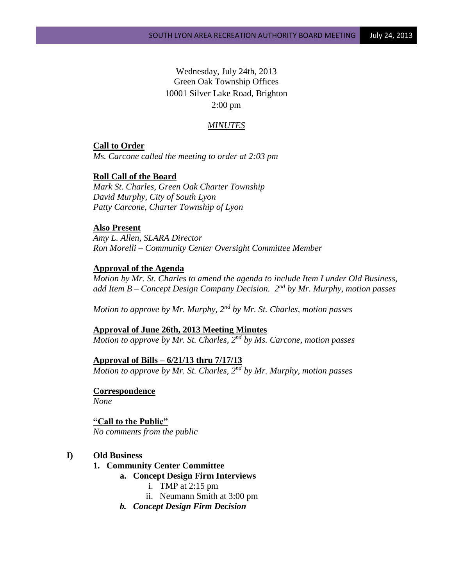## Wednesday, July 24th, 2013 Green Oak Township Offices 10001 Silver Lake Road, Brighton 2:00 pm

#### *MINUTES*

**Call to Order** *Ms. Carcone called the meeting to order at 2:03 pm*

#### **Roll Call of the Board**

*Mark St. Charles, Green Oak Charter Township David Murphy, City of South Lyon Patty Carcone, Charter Township of Lyon* 

#### **Also Present**

*Amy L. Allen, SLARA Director Ron Morelli – Community Center Oversight Committee Member*

#### **Approval of the Agenda**

*Motion by Mr. St. Charles to amend the agenda to include Item I under Old Business, add Item B – Concept Design Company Decision. 2nd by Mr. Murphy, motion passes*

*Motion to approve by Mr. Murphy, 2nd by Mr. St. Charles, motion passes*

# **Approval of June 26th, 2013 Meeting Minutes**

*Motion to approve by Mr. St. Charles, 2nd by Ms. Carcone, motion passes*

**Approval of Bills – 6/21/13 thru 7/17/13** *Motion to approve by Mr. St. Charles, 2nd by Mr. Murphy, motion passes*

**Correspondence**

*None*

**"Call to the Public"** *No comments from the public*

#### **I) Old Business**

#### **1. Community Center Committee**

- **a. Concept Design Firm Interviews**
	- i. TMP at 2:15 pm
	- ii. Neumann Smith at 3:00 pm
- *b. Concept Design Firm Decision*